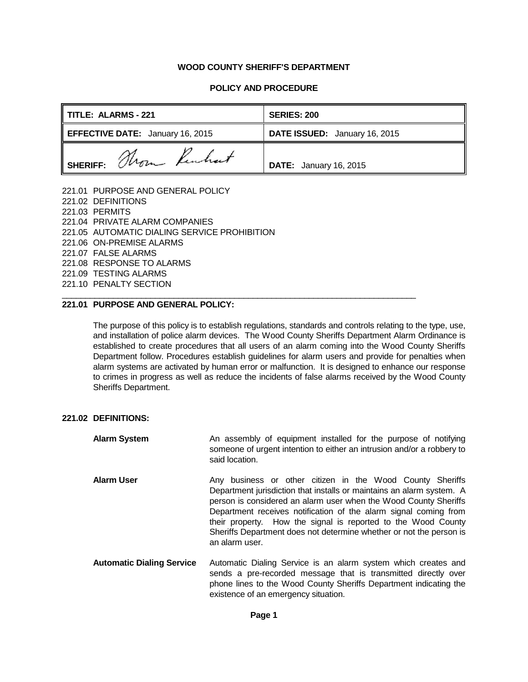#### **WOOD COUNTY SHERIFF'S DEPARTMENT**

#### **POLICY AND PROCEDURE**

| TITLE: ALARMS - 221                     | <b>SERIES: 200</b>            |  |
|-----------------------------------------|-------------------------------|--|
| <b>EFFECTIVE DATE:</b> January 16, 2015 | DATE ISSUED: January 16, 2015 |  |
| SHERIFF: Thom Kenhart                   | <b>DATE:</b> January 16, 2015 |  |

221.01 PURPOSE AND GENERAL POLICY 221.02 DEFINITIONS 221.03 PERMITS 221.04 PRIVATE ALARM COMPANIES 221.05 AUTOMATIC DIALING SERVICE PROHIBITION 221.06 ON-PREMISE ALARMS 221.07 FALSE ALARMS 221.08 RESPONSE TO ALARMS 221.09 TESTING ALARMS 221.10 PENALTY SECTION

### **221.01 PURPOSE AND GENERAL POLICY:**

The purpose of this policy is to establish regulations, standards and controls relating to the type, use, and installation of police alarm devices. The Wood County Sheriffs Department Alarm Ordinance is established to create procedures that all users of an alarm coming into the Wood County Sheriffs Department follow. Procedures establish guidelines for alarm users and provide for penalties when alarm systems are activated by human error or malfunction. It is designed to enhance our response to crimes in progress as well as reduce the incidents of false alarms received by the Wood County Sheriffs Department.

\_\_\_\_\_\_\_\_\_\_\_\_\_\_\_\_\_\_\_\_\_\_\_\_\_\_\_\_\_\_\_\_\_\_\_\_\_\_\_\_\_\_\_\_\_\_\_\_\_\_\_\_\_\_\_\_\_\_\_\_\_\_\_\_\_\_\_\_\_\_\_\_\_\_\_\_

#### **221.02 DEFINITIONS:**

**Alarm System** An assembly of equipment installed for the purpose of notifying someone of urgent intention to either an intrusion and/or a robbery to said location. **Alarm User Any business or other citizen in the Wood County Sheriffs** Department jurisdiction that installs or maintains an alarm system. A person is considered an alarm user when the Wood County Sheriffs Department receives notification of the alarm signal coming from their property. How the signal is reported to the Wood County Sheriffs Department does not determine whether or not the person is an alarm user. **Automatic Dialing Service** Automatic Dialing Service is an alarm system which creates and sends a pre-recorded message that is transmitted directly over phone lines to the Wood County Sheriffs Department indicating the

existence of an emergency situation.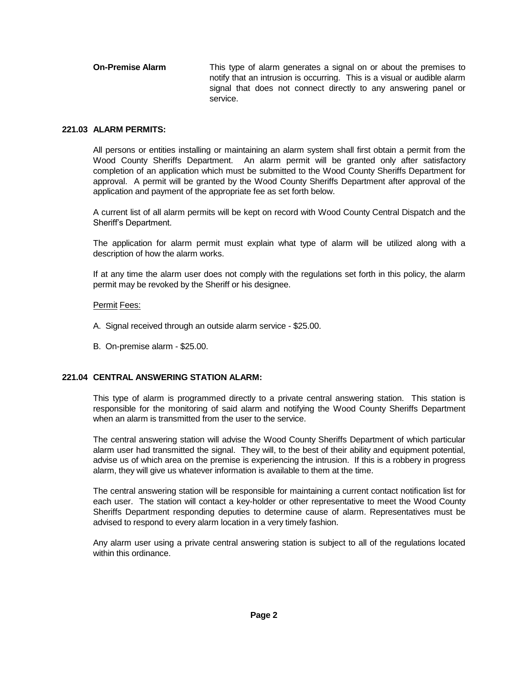**On-Premise Alarm** This type of alarm generates a signal on or about the premises to notify that an intrusion is occurring. This is a visual or audible alarm signal that does not connect directly to any answering panel or service.

### **221.03 ALARM PERMITS:**

All persons or entities installing or maintaining an alarm system shall first obtain a permit from the Wood County Sheriffs Department. An alarm permit will be granted only after satisfactory completion of an application which must be submitted to the Wood County Sheriffs Department for approval. A permit will be granted by the Wood County Sheriffs Department after approval of the application and payment of the appropriate fee as set forth below.

A current list of all alarm permits will be kept on record with Wood County Central Dispatch and the Sheriff's Department.

The application for alarm permit must explain what type of alarm will be utilized along with a description of how the alarm works.

If at any time the alarm user does not comply with the regulations set forth in this policy, the alarm permit may be revoked by the Sheriff or his designee.

### Permit Fees:

- A. Signal received through an outside alarm service \$25.00.
- B. On-premise alarm \$25.00.

# **221.04 CENTRAL ANSWERING STATION ALARM:**

This type of alarm is programmed directly to a private central answering station. This station is responsible for the monitoring of said alarm and notifying the Wood County Sheriffs Department when an alarm is transmitted from the user to the service.

The central answering station will advise the Wood County Sheriffs Department of which particular alarm user had transmitted the signal. They will, to the best of their ability and equipment potential, advise us of which area on the premise is experiencing the intrusion. If this is a robbery in progress alarm, they will give us whatever information is available to them at the time.

The central answering station will be responsible for maintaining a current contact notification list for each user. The station will contact a key-holder or other representative to meet the Wood County Sheriffs Department responding deputies to determine cause of alarm. Representatives must be advised to respond to every alarm location in a very timely fashion.

Any alarm user using a private central answering station is subject to all of the regulations located within this ordinance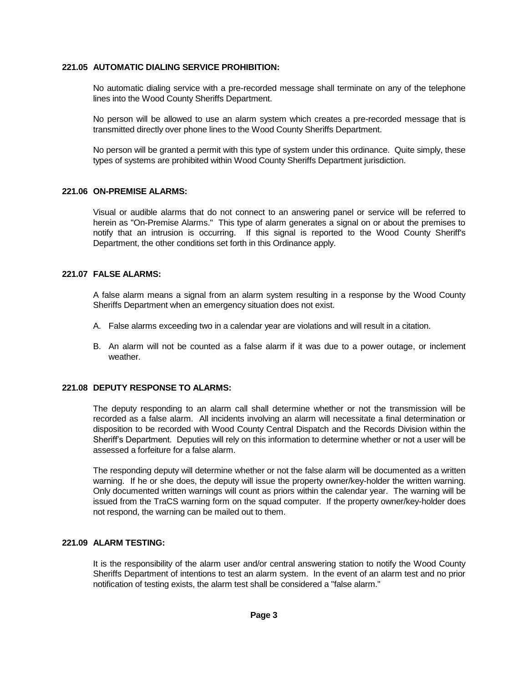### **221.05 AUTOMATIC DIALING SERVICE PROHIBITION:**

No automatic dialing service with a pre-recorded message shall terminate on any of the telephone lines into the Wood County Sheriffs Department.

No person will be allowed to use an alarm system which creates a pre-recorded message that is transmitted directly over phone lines to the Wood County Sheriffs Department.

No person will be granted a permit with this type of system under this ordinance. Quite simply, these types of systems are prohibited within Wood County Sheriffs Department jurisdiction.

#### **221.06 ON-PREMISE ALARMS:**

Visual or audible alarms that do not connect to an answering panel or service will be referred to herein as "On-Premise Alarms." This type of alarm generates a signal on or about the premises to notify that an intrusion is occurring. If this signal is reported to the Wood County Sheriff's Department, the other conditions set forth in this Ordinance apply.

### **221.07 FALSE ALARMS:**

A false alarm means a signal from an alarm system resulting in a response by the Wood County Sheriffs Department when an emergency situation does not exist.

- A. False alarms exceeding two in a calendar year are violations and will result in a citation.
- B. An alarm will not be counted as a false alarm if it was due to a power outage, or inclement weather.

# **221.08 DEPUTY RESPONSE TO ALARMS:**

The deputy responding to an alarm call shall determine whether or not the transmission will be recorded as a false alarm. All incidents involving an alarm will necessitate a final determination or disposition to be recorded with Wood County Central Dispatch and the Records Division within the Sheriff's Department. Deputies will rely on this information to determine whether or not a user will be assessed a forfeiture for a false alarm.

The responding deputy will determine whether or not the false alarm will be documented as a written warning. If he or she does, the deputy will issue the property owner/key-holder the written warning. Only documented written warnings will count as priors within the calendar year. The warning will be issued from the TraCS warning form on the squad computer. If the property owner/key-holder does not respond, the warning can be mailed out to them.

### **221.09 ALARM TESTING:**

It is the responsibility of the alarm user and/or central answering station to notify the Wood County Sheriffs Department of intentions to test an alarm system. In the event of an alarm test and no prior notification of testing exists, the alarm test shall be considered a "false alarm."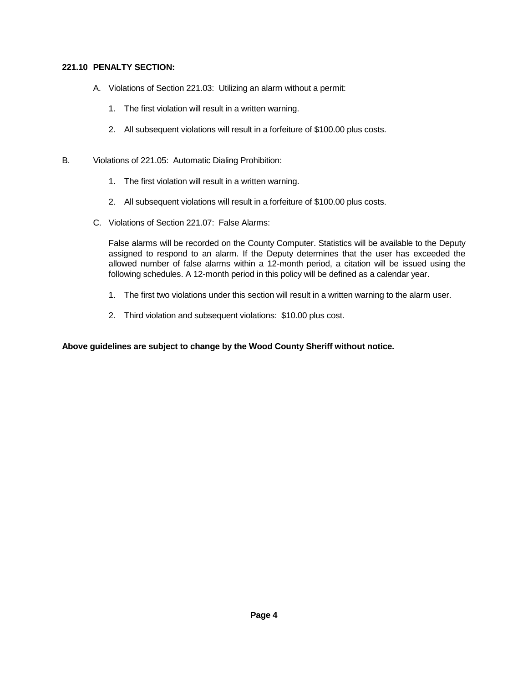# **221.10 PENALTY SECTION:**

- A. Violations of Section 221.03: Utilizing an alarm without a permit:
	- 1. The first violation will result in a written warning.
	- 2. All subsequent violations will result in a forfeiture of \$100.00 plus costs.
- B. Violations of 221.05: Automatic Dialing Prohibition:
	- 1. The first violation will result in a written warning.
	- 2. All subsequent violations will result in a forfeiture of \$100.00 plus costs.
	- C. Violations of Section 221.07: False Alarms:

False alarms will be recorded on the County Computer. Statistics will be available to the Deputy assigned to respond to an alarm. If the Deputy determines that the user has exceeded the allowed number of false alarms within a 12-month period, a citation will be issued using the following schedules. A 12-month period in this policy will be defined as a calendar year.

- 1. The first two violations under this section will result in a written warning to the alarm user.
- 2. Third violation and subsequent violations: \$10.00 plus cost.

# **Above guidelines are subject to change by the Wood County Sheriff without notice.**